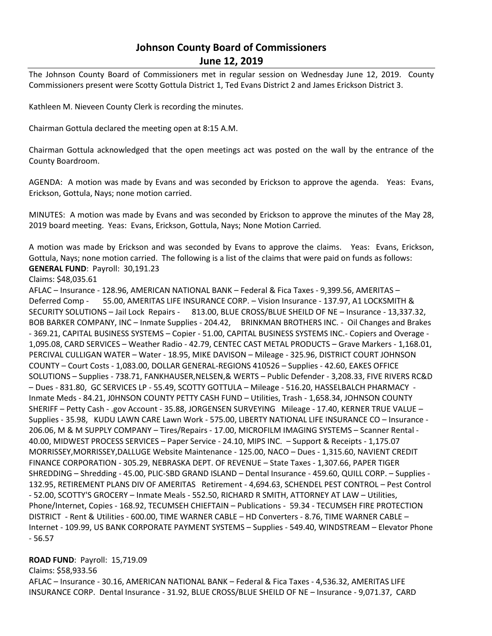# **Johnson County Board of Commissioners June 12, 2019**

The Johnson County Board of Commissioners met in regular session on Wednesday June 12, 2019. County Commissioners present were Scotty Gottula District 1, Ted Evans District 2 and James Erickson District 3.

Kathleen M. Nieveen County Clerk is recording the minutes.

Chairman Gottula declared the meeting open at 8:15 A.M.

Chairman Gottula acknowledged that the open meetings act was posted on the wall by the entrance of the County Boardroom.

AGENDA: A motion was made by Evans and was seconded by Erickson to approve the agenda. Yeas: Evans, Erickson, Gottula, Nays; none motion carried.

MINUTES: A motion was made by Evans and was seconded by Erickson to approve the minutes of the May 28, 2019 board meeting. Yeas: Evans, Erickson, Gottula, Nays; None Motion Carried.

A motion was made by Erickson and was seconded by Evans to approve the claims. Yeas: Evans, Erickson, Gottula, Nays; none motion carried. The following is a list of the claims that were paid on funds as follows: **GENERAL FUND**: Payroll: 30,191.23

Claims: \$48,035.61

AFLAC – Insurance - 128.96, AMERICAN NATIONAL BANK – Federal & Fica Taxes - 9,399.56, AMERITAS – Deferred Comp - 55.00, AMERITAS LIFE INSURANCE CORP. – Vision Insurance - 137.97, A1 LOCKSMITH & SECURITY SOLUTIONS – Jail Lock Repairs - 813.00, BLUE CROSS/BLUE SHEILD OF NE – Insurance - 13,337.32, BOB BARKER COMPANY, INC – Inmate Supplies - 204.42, BRINKMAN BROTHERS INC. - Oil Changes and Brakes - 369.21, CAPITAL BUSINESS SYSTEMS – Copier - 51.00, CAPITAL BUSINESS SYSTEMS INC.- Copiers and Overage - 1,095.08, CARD SERVICES – Weather Radio - 42.79, CENTEC CAST METAL PRODUCTS – Grave Markers - 1,168.01, PERCIVAL CULLIGAN WATER – Water - 18.95, MIKE DAVISON – Mileage - 325.96, DISTRICT COURT JOHNSON COUNTY – Court Costs - 1,083.00, DOLLAR GENERAL-REGIONS 410526 – Supplies - 42.60, EAKES OFFICE SOLUTIONS – Supplies - 738.71, FANKHAUSER,NELSEN,& WERTS – Public Defender - 3,208.33, FIVE RIVERS RC&D – Dues - 831.80, GC SERVICES LP - 55.49, SCOTTY GOTTULA – Mileage - 516.20, HASSELBALCH PHARMACY - Inmate Meds - 84.21, J0HNSON COUNTY PETTY CASH FUND – Utilities, Trash - 1,658.34, JOHNSON COUNTY SHERIFF – Petty Cash - .gov Account - 35.88, JORGENSEN SURVEYING Mileage - 17.40, KERNER TRUE VALUE – Supplies - 35.98, KUDU LAWN CARE Lawn Work - 575.00, LIBERTY NATIONAL LIFE INSURANCE CO – Insurance - 206.06, M & M SUPPLY COMPANY – Tires/Repairs - 17.00, MICROFILM IMAGING SYSTEMS – Scanner Rental - 40.00, MIDWEST PROCESS SERVICES – Paper Service - 24.10, MIPS INC. – Support & Receipts - 1,175.07 MORRISSEY,MORRISSEY,DALLUGE Website Maintenance - 125.00, NACO – Dues - 1,315.60, NAVIENT CREDIT FINANCE CORPORATION - 305.29, NEBRASKA DEPT. OF REVENUE – State Taxes - 1,307.66, PAPER TIGER SHREDDING – Shredding - 45.00, PLIC-SBD GRAND ISLAND – Dental Insurance - 459.60, QUILL CORP. – Supplies - 132.95, RETIREMENT PLANS DIV OF AMERITAS Retirement - 4,694.63, SCHENDEL PEST CONTROL – Pest Control - 52.00, SCOTTY'S GROCERY – Inmate Meals - 552.50, RICHARD R SMITH, ATTORNEY AT LAW – Utilities, Phone/Internet, Copies - 168.92, TECUMSEH CHIEFTAIN – Publications - 59.34 - TECUMSEH FIRE PROTECTION DISTRICT - Rent & Utilities - 600.00, TIME WARNER CABLE – HD Converters - 8.76, TIME WARNER CABLE – Internet - 109.99, US BANK CORPORATE PAYMENT SYSTEMS – Supplies - 549.40, WINDSTREAM – Elevator Phone - 56.57

#### **ROAD FUND**: Payroll: 15,719.09

Claims: \$58,933.56

AFLAC – Insurance - 30.16, AMERICAN NATIONAL BANK – Federal & Fica Taxes - 4,536.32, AMERITAS LIFE INSURANCE CORP. Dental Insurance - 31.92, BLUE CROSS/BLUE SHEILD OF NE – Insurance - 9,071.37, CARD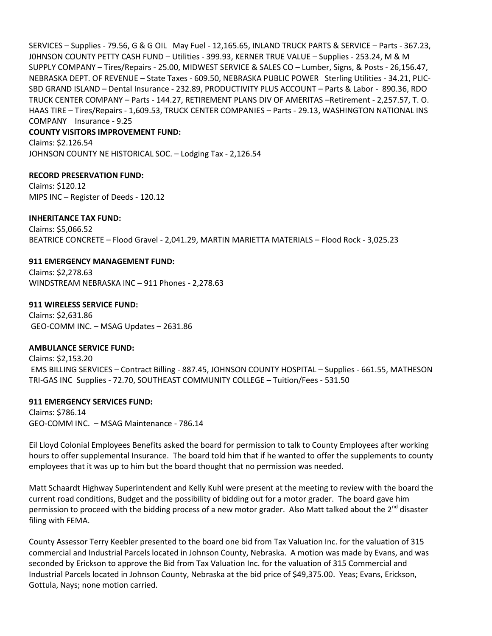SERVICES – Supplies - 79.56, G & G OIL May Fuel - 12,165.65, INLAND TRUCK PARTS & SERVICE – Parts - 367.23, J0HNSON COUNTY PETTY CASH FUND – Utilities - 399.93, KERNER TRUE VALUE – Supplies - 253.24, M & M SUPPLY COMPANY – Tires/Repairs - 25.00, MIDWEST SERVICE & SALES CO – Lumber, Signs, & Posts - 26,156.47, NEBRASKA DEPT. OF REVENUE – State Taxes - 609.50, NEBRASKA PUBLIC POWER Sterling Utilities - 34.21, PLIC-SBD GRAND ISLAND – Dental Insurance - 232.89, PRODUCTIVITY PLUS ACCOUNT – Parts & Labor - 890.36, RDO TRUCK CENTER COMPANY – Parts - 144.27, RETIREMENT PLANS DIV OF AMERITAS –Retirement - 2,257.57, T. O. HAAS TIRE – Tires/Repairs - 1,609.53, TRUCK CENTER COMPANIES – Parts - 29.13, WASHINGTON NATIONAL INS COMPANY Insurance - 9.25

# **COUNTY VISITORS IMPROVEMENT FUND:**

Claims: \$2.126.54 JOHNSON COUNTY NE HISTORICAL SOC. – Lodging Tax - 2,126.54

#### **RECORD PRESERVATION FUND:**

Claims: \$120.12 MIPS INC – Register of Deeds - 120.12

#### **INHERITANCE TAX FUND:**

Claims: \$5,066.52 BEATRICE CONCRETE – Flood Gravel - 2,041.29, MARTIN MARIETTA MATERIALS – Flood Rock - 3,025.23

#### **911 EMERGENCY MANAGEMENT FUND:**

Claims: \$2,278.63 WINDSTREAM NEBRASKA INC – 911 Phones - 2,278.63

**911 WIRELESS SERVICE FUND:** Claims: \$2,631.86 GEO-COMM INC. – MSAG Updates – 2631.86

## **AMBULANCE SERVICE FUND:**

Claims: \$2,153.20 EMS BILLING SERVICES – Contract Billing - 887.45, JOHNSON COUNTY HOSPITAL – Supplies - 661.55, MATHESON TRI-GAS INC Supplies - 72.70, SOUTHEAST COMMUNITY COLLEGE – Tuition/Fees - 531.50

## **911 EMERGENCY SERVICES FUND:**

Claims: \$786.14 GEO-COMM INC. – MSAG Maintenance - 786.14

Eil Lloyd Colonial Employees Benefits asked the board for permission to talk to County Employees after working hours to offer supplemental Insurance. The board told him that if he wanted to offer the supplements to county employees that it was up to him but the board thought that no permission was needed.

Matt Schaardt Highway Superintendent and Kelly Kuhl were present at the meeting to review with the board the current road conditions, Budget and the possibility of bidding out for a motor grader. The board gave him permission to proceed with the bidding process of a new motor grader. Also Matt talked about the  $2^{nd}$  disaster filing with FEMA.

County Assessor Terry Keebler presented to the board one bid from Tax Valuation Inc. for the valuation of 315 commercial and Industrial Parcels located in Johnson County, Nebraska. A motion was made by Evans, and was seconded by Erickson to approve the Bid from Tax Valuation Inc. for the valuation of 315 Commercial and Industrial Parcels located in Johnson County, Nebraska at the bid price of \$49,375.00. Yeas; Evans, Erickson, Gottula, Nays; none motion carried.